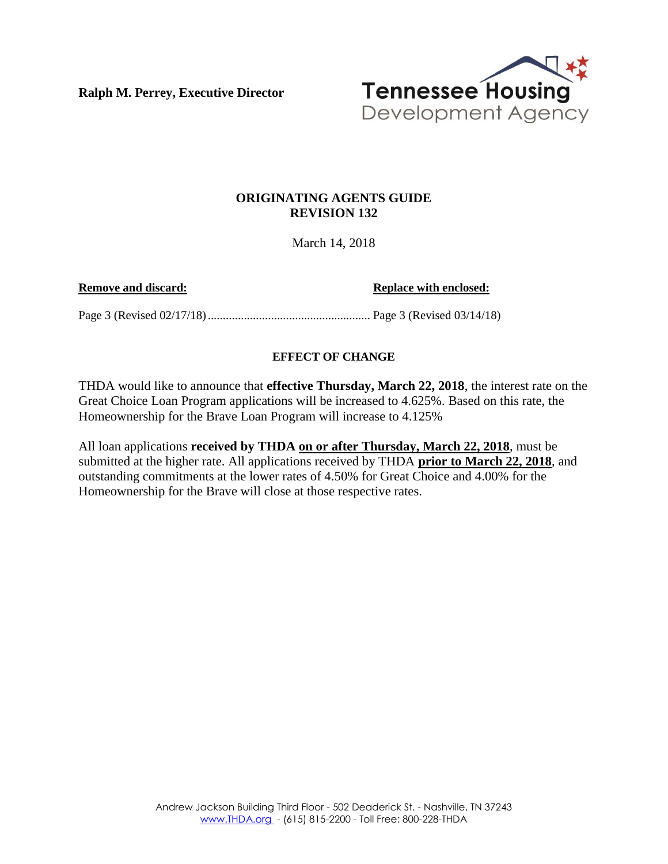**Ralph M. Perrey, Executive Director**



## **ORIGINATING AGENTS GUIDE REVISION 132**

March 14, 2018

**Remove and discard: Replace with enclosed:** 

Page 3 (Revised 02/17/18)...................................................... Page 3 (Revised 03/14/18)

## **EFFECT OF CHANGE**

THDA would like to announce that **effective Thursday, March 22, 2018**, the interest rate on the Great Choice Loan Program applications will be increased to 4.625%. Based on this rate, the Homeownership for the Brave Loan Program will increase to 4.125%

All loan applications **received by THDA on or after Thursday, March 22, 2018**, must be submitted at the higher rate. All applications received by THDA **prior to March 22, 2018**, and outstanding commitments at the lower rates of 4.50% for Great Choice and 4.00% for the Homeownership for the Brave will close at those respective rates.